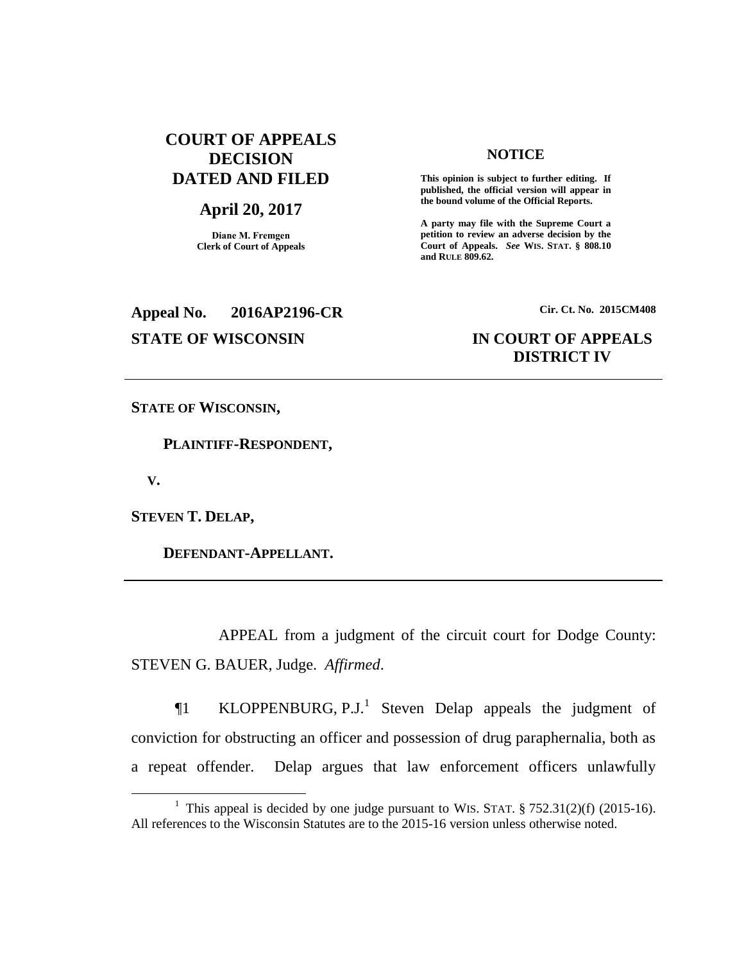# **COURT OF APPEALS DECISION DATED AND FILED**

### **April 20, 2017**

**Diane M. Fremgen Clerk of Court of Appeals**

### **NOTICE**

**This opinion is subject to further editing. If published, the official version will appear in the bound volume of the Official Reports.** 

**A party may file with the Supreme Court a petition to review an adverse decision by the Court of Appeals.** *See* **WIS. STAT. § 808.10 and RULE 809.62.** 

# **Appeal No. 2016AP2196-CR Cir. Ct. No. 2015CM408**

# **STATE OF WISCONSIN IN COURT OF APPEALS DISTRICT IV**

**STATE OF WISCONSIN,**

 **PLAINTIFF-RESPONDENT,**

 **V.**

 $\overline{a}$ 

**STEVEN T. DELAP,**

 **DEFENDANT-APPELLANT.**

APPEAL from a judgment of the circuit court for Dodge County: STEVEN G. BAUER, Judge. *Affirmed*.

 $\P1$  KLOPPENBURG, P.J.<sup>1</sup> Steven Delap appeals the judgment of conviction for obstructing an officer and possession of drug paraphernalia, both as a repeat offender. Delap argues that law enforcement officers unlawfully

<sup>&</sup>lt;sup>1</sup> This appeal is decided by one judge pursuant to WIS. STAT.  $\S 752.31(2)(f)$  (2015-16). All references to the Wisconsin Statutes are to the 2015-16 version unless otherwise noted.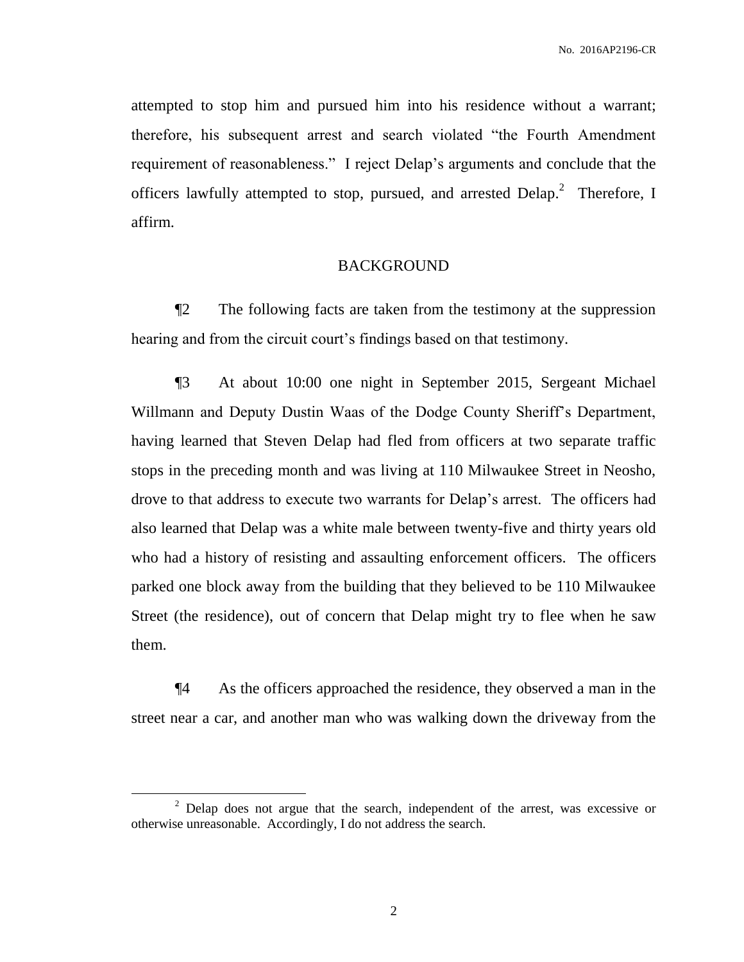attempted to stop him and pursued him into his residence without a warrant; therefore, his subsequent arrest and search violated "the Fourth Amendment requirement of reasonableness." I reject Delap's arguments and conclude that the officers lawfully attempted to stop, pursued, and arrested  $Delap.<sup>2</sup>$  Therefore, I affirm.

#### BACKGROUND

¶2 The following facts are taken from the testimony at the suppression hearing and from the circuit court's findings based on that testimony.

¶3 At about 10:00 one night in September 2015, Sergeant Michael Willmann and Deputy Dustin Waas of the Dodge County Sheriff's Department, having learned that Steven Delap had fled from officers at two separate traffic stops in the preceding month and was living at 110 Milwaukee Street in Neosho, drove to that address to execute two warrants for Delap's arrest. The officers had also learned that Delap was a white male between twenty-five and thirty years old who had a history of resisting and assaulting enforcement officers. The officers parked one block away from the building that they believed to be 110 Milwaukee Street (the residence), out of concern that Delap might try to flee when he saw them.

¶4 As the officers approached the residence, they observed a man in the street near a car, and another man who was walking down the driveway from the

 $\overline{a}$ 

 $2$  Delap does not argue that the search, independent of the arrest, was excessive or otherwise unreasonable. Accordingly, I do not address the search.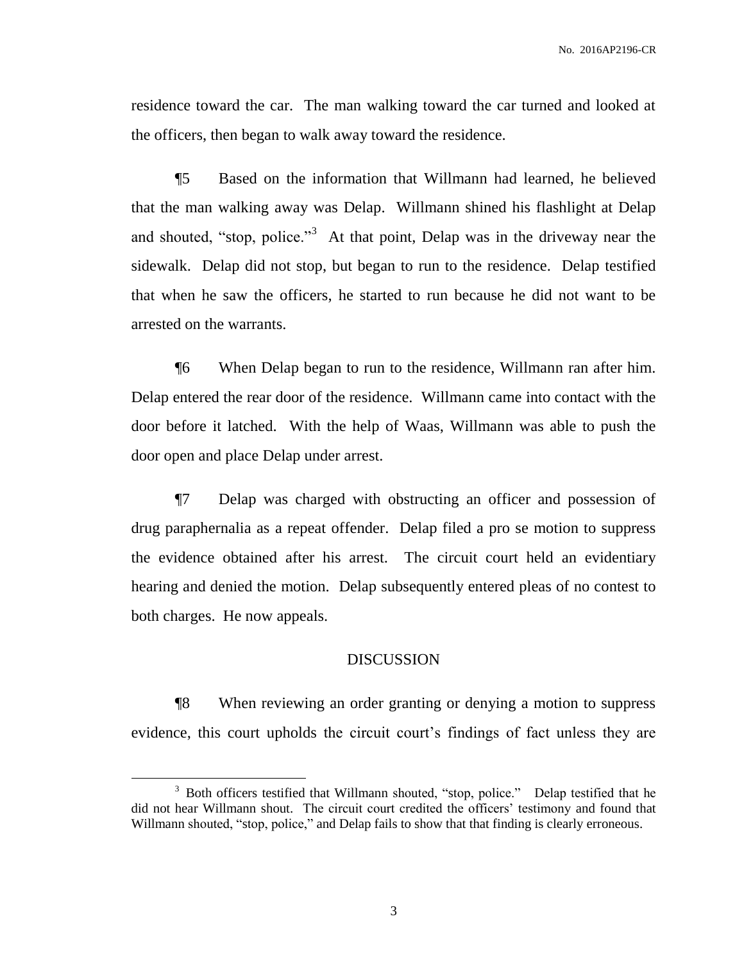residence toward the car. The man walking toward the car turned and looked at the officers, then began to walk away toward the residence.

¶5 Based on the information that Willmann had learned, he believed that the man walking away was Delap. Willmann shined his flashlight at Delap and shouted, "stop, police."<sup>3</sup> At that point, Delap was in the driveway near the sidewalk. Delap did not stop, but began to run to the residence. Delap testified that when he saw the officers, he started to run because he did not want to be arrested on the warrants.

¶6 When Delap began to run to the residence, Willmann ran after him. Delap entered the rear door of the residence. Willmann came into contact with the door before it latched. With the help of Waas, Willmann was able to push the door open and place Delap under arrest.

¶7 Delap was charged with obstructing an officer and possession of drug paraphernalia as a repeat offender. Delap filed a pro se motion to suppress the evidence obtained after his arrest. The circuit court held an evidentiary hearing and denied the motion. Delap subsequently entered pleas of no contest to both charges. He now appeals.

#### DISCUSSION

¶8 When reviewing an order granting or denying a motion to suppress evidence, this court upholds the circuit court's findings of fact unless they are

 $\overline{a}$ 

<sup>&</sup>lt;sup>3</sup> Both officers testified that Willmann shouted, "stop, police." Delap testified that he did not hear Willmann shout. The circuit court credited the officers' testimony and found that Willmann shouted, "stop, police," and Delap fails to show that that finding is clearly erroneous.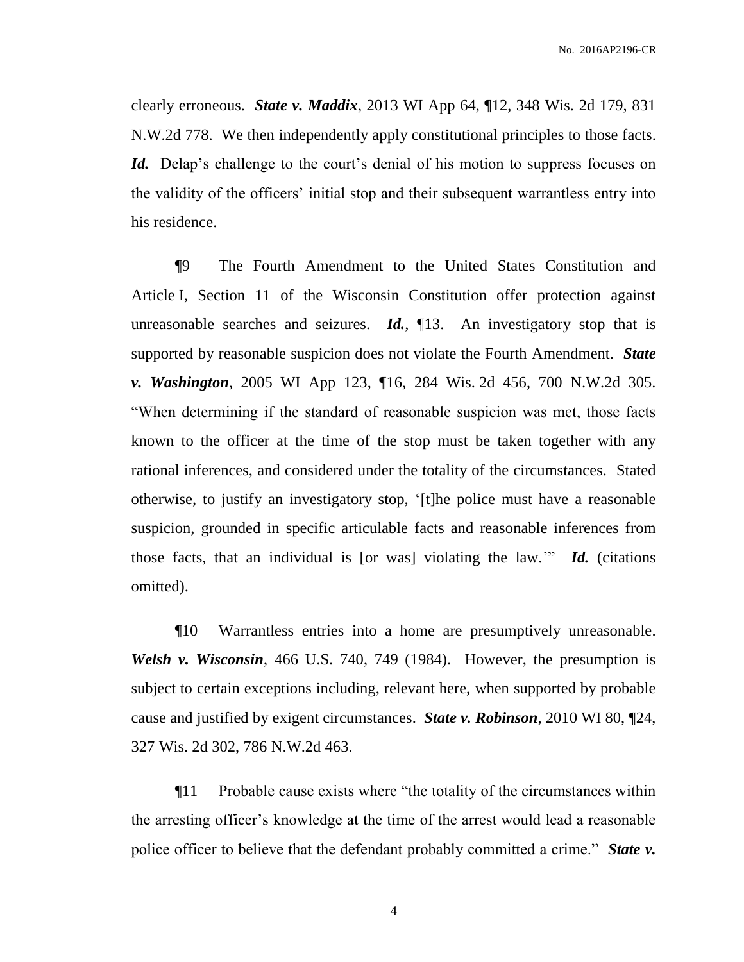clearly erroneous. *State v. Maddix*, 2013 WI App 64, ¶12, 348 Wis. 2d 179, 831 N.W.2d 778. We then independently apply constitutional principles to those facts. *Id.* Delap's challenge to the court's denial of his motion to suppress focuses on the validity of the officers' initial stop and their subsequent warrantless entry into his residence.

¶9 The Fourth Amendment to the United States Constitution and Article I, Section 11 of the Wisconsin Constitution offer protection against unreasonable searches and seizures. *Id.*, ¶13. An investigatory stop that is supported by reasonable suspicion does not violate the Fourth Amendment. *State v. Washington*, 2005 WI App 123, ¶16, 284 Wis. 2d 456, 700 N.W.2d 305. "When determining if the standard of reasonable suspicion was met, those facts known to the officer at the time of the stop must be taken together with any rational inferences, and considered under the totality of the circumstances. Stated otherwise, to justify an investigatory stop, '[t]he police must have a reasonable suspicion, grounded in specific articulable facts and reasonable inferences from those facts, that an individual is [or was] violating the law.'" *Id.* (citations omitted).

¶10 Warrantless entries into a home are presumptively unreasonable. *Welsh v. Wisconsin*, 466 U.S. 740, 749 (1984). However, the presumption is subject to certain exceptions including, relevant here, when supported by probable cause and justified by exigent circumstances. *State v. Robinson*, 2010 WI 80, ¶24, 327 Wis. 2d 302, 786 N.W.2d 463.

¶11 Probable cause exists where "the totality of the circumstances within the arresting officer's knowledge at the time of the arrest would lead a reasonable police officer to believe that the defendant probably committed a crime." *State v.*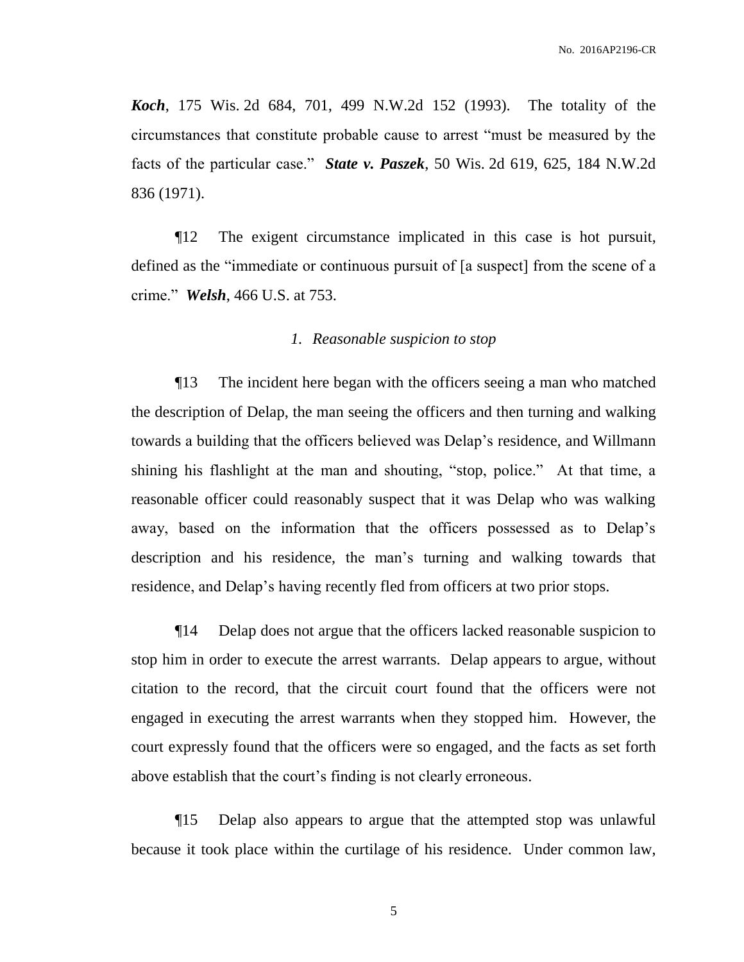*Koch*, 175 Wis. 2d 684, 701, 499 N.W.2d 152 (1993). The totality of the circumstances that constitute probable cause to arrest "must be measured by the facts of the particular case." *State v. Paszek*, 50 Wis. 2d 619, 625, 184 N.W.2d 836 (1971).

¶12 The exigent circumstance implicated in this case is hot pursuit, defined as the "immediate or continuous pursuit of [a suspect] from the scene of a crime." *Welsh*, 466 U.S. at 753.

#### *1. Reasonable suspicion to stop*

¶13 The incident here began with the officers seeing a man who matched the description of Delap, the man seeing the officers and then turning and walking towards a building that the officers believed was Delap's residence, and Willmann shining his flashlight at the man and shouting, "stop, police." At that time, a reasonable officer could reasonably suspect that it was Delap who was walking away, based on the information that the officers possessed as to Delap's description and his residence, the man's turning and walking towards that residence, and Delap's having recently fled from officers at two prior stops.

¶14 Delap does not argue that the officers lacked reasonable suspicion to stop him in order to execute the arrest warrants. Delap appears to argue, without citation to the record, that the circuit court found that the officers were not engaged in executing the arrest warrants when they stopped him. However, the court expressly found that the officers were so engaged, and the facts as set forth above establish that the court's finding is not clearly erroneous.

¶15 Delap also appears to argue that the attempted stop was unlawful because it took place within the curtilage of his residence. Under common law,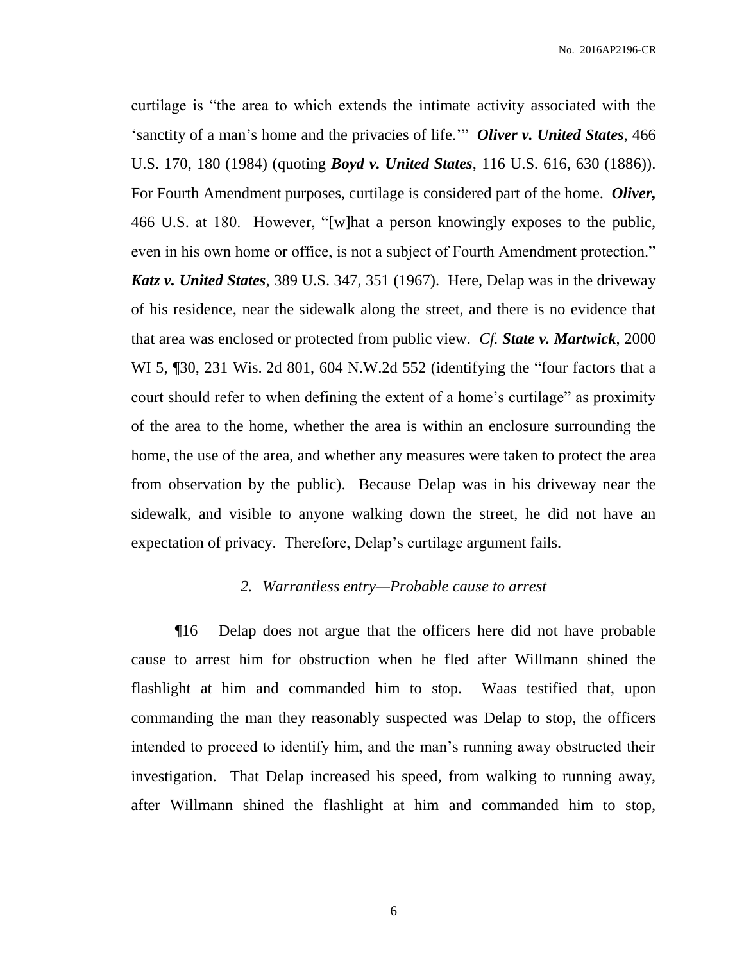curtilage is "the area to which extends the intimate activity associated with the 'sanctity of a man's home and the privacies of life.'" *Oliver v. United States*, 466 U.S. 170, 180 (1984) (quoting *Boyd v. United States*, 116 U.S. 616, 630 (1886)). For Fourth Amendment purposes, curtilage is considered part of the home. *Oliver,*  466 U.S. at 180. However, "[w]hat a person knowingly exposes to the public, even in his own home or office, is not a subject of Fourth Amendment protection." *Katz v. United States*, 389 U.S. 347, 351 (1967). Here, Delap was in the driveway of his residence, near the sidewalk along the street, and there is no evidence that that area was enclosed or protected from public view. *Cf. State v. Martwick*, 2000 WI 5, ¶30, 231 Wis. 2d 801, 604 N.W.2d 552 (identifying the "four factors that a court should refer to when defining the extent of a home's curtilage" as proximity of the area to the home, whether the area is within an enclosure surrounding the home, the use of the area, and whether any measures were taken to protect the area from observation by the public). Because Delap was in his driveway near the sidewalk, and visible to anyone walking down the street, he did not have an expectation of privacy. Therefore, Delap's curtilage argument fails.

#### *2. Warrantless entry—Probable cause to arrest*

¶16 Delap does not argue that the officers here did not have probable cause to arrest him for obstruction when he fled after Willmann shined the flashlight at him and commanded him to stop. Waas testified that, upon commanding the man they reasonably suspected was Delap to stop, the officers intended to proceed to identify him, and the man's running away obstructed their investigation. That Delap increased his speed, from walking to running away, after Willmann shined the flashlight at him and commanded him to stop,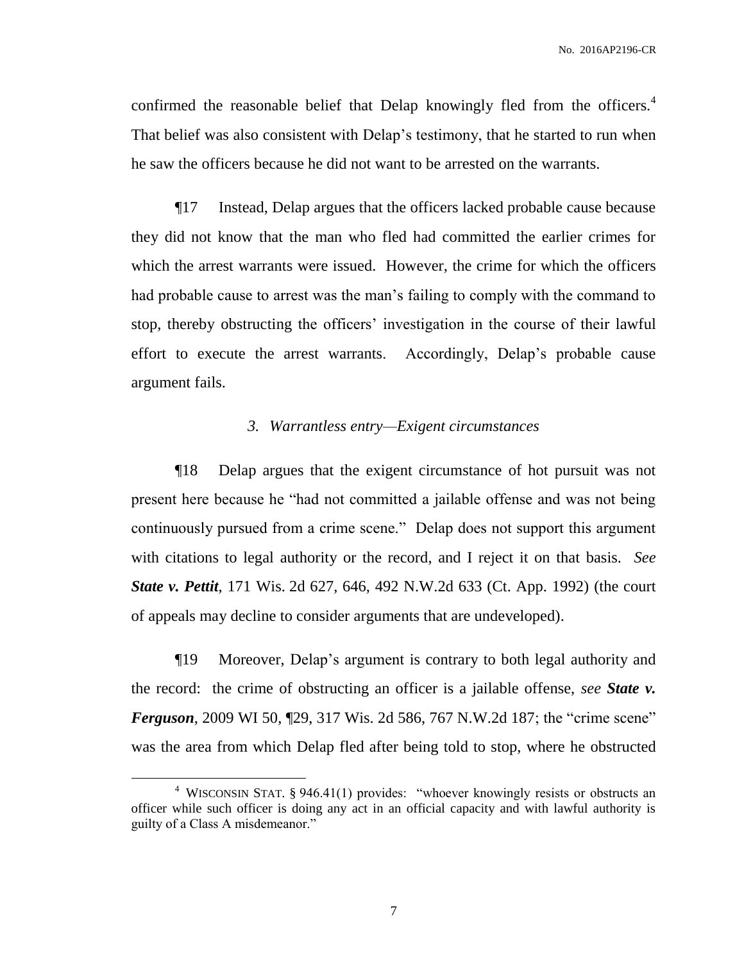confirmed the reasonable belief that Delap knowingly fled from the officers.<sup>4</sup> That belief was also consistent with Delap's testimony, that he started to run when he saw the officers because he did not want to be arrested on the warrants.

¶17 Instead, Delap argues that the officers lacked probable cause because they did not know that the man who fled had committed the earlier crimes for which the arrest warrants were issued. However, the crime for which the officers had probable cause to arrest was the man's failing to comply with the command to stop, thereby obstructing the officers' investigation in the course of their lawful effort to execute the arrest warrants. Accordingly, Delap's probable cause argument fails.

## *3. Warrantless entry—Exigent circumstances*

¶18 Delap argues that the exigent circumstance of hot pursuit was not present here because he "had not committed a jailable offense and was not being continuously pursued from a crime scene." Delap does not support this argument with citations to legal authority or the record, and I reject it on that basis. *See State v. Pettit*, 171 Wis. 2d 627, 646, 492 N.W.2d 633 (Ct. App. 1992) (the court of appeals may decline to consider arguments that are undeveloped).

¶19 Moreover, Delap's argument is contrary to both legal authority and the record: the crime of obstructing an officer is a jailable offense, *see State v. Ferguson*, 2009 WI 50, 129, 317 Wis. 2d 586, 767 N.W.2d 187; the "crime scene" was the area from which Delap fled after being told to stop, where he obstructed

 $\overline{a}$ 

<sup>&</sup>lt;sup>4</sup> WISCONSIN STAT. § 946.41(1) provides: "whoever knowingly resists or obstructs an officer while such officer is doing any act in an official capacity and with lawful authority is guilty of a Class A misdemeanor."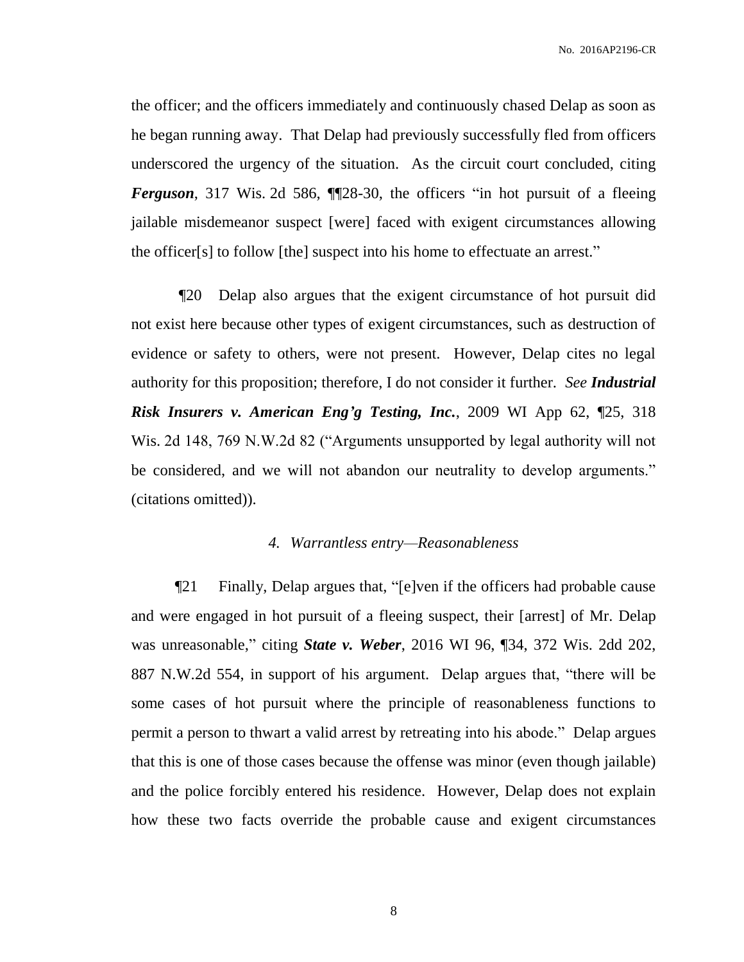the officer; and the officers immediately and continuously chased Delap as soon as he began running away. That Delap had previously successfully fled from officers underscored the urgency of the situation. As the circuit court concluded, citing *Ferguson*, 317 Wis. 2d 586, ¶¶28-30, the officers "in hot pursuit of a fleeing jailable misdemeanor suspect [were] faced with exigent circumstances allowing the officer[s] to follow [the] suspect into his home to effectuate an arrest."

¶20 Delap also argues that the exigent circumstance of hot pursuit did not exist here because other types of exigent circumstances, such as destruction of evidence or safety to others, were not present. However, Delap cites no legal authority for this proposition; therefore, I do not consider it further. *See Industrial Risk Insurers v. American Eng'g Testing, Inc.*, 2009 WI App 62, ¶25, 318 Wis. 2d 148, 769 N.W.2d 82 ("Arguments unsupported by legal authority will not be considered, and we will not abandon our neutrality to develop arguments." (citations omitted)).

### *4. Warrantless entry—Reasonableness*

¶21 Finally, Delap argues that, "[e]ven if the officers had probable cause and were engaged in hot pursuit of a fleeing suspect, their [arrest] of Mr. Delap was unreasonable," citing *State v. Weber*, 2016 WI 96, ¶34, 372 Wis. 2dd 202, 887 N.W.2d 554, in support of his argument. Delap argues that, "there will be some cases of hot pursuit where the principle of reasonableness functions to permit a person to thwart a valid arrest by retreating into his abode." Delap argues that this is one of those cases because the offense was minor (even though jailable) and the police forcibly entered his residence. However, Delap does not explain how these two facts override the probable cause and exigent circumstances